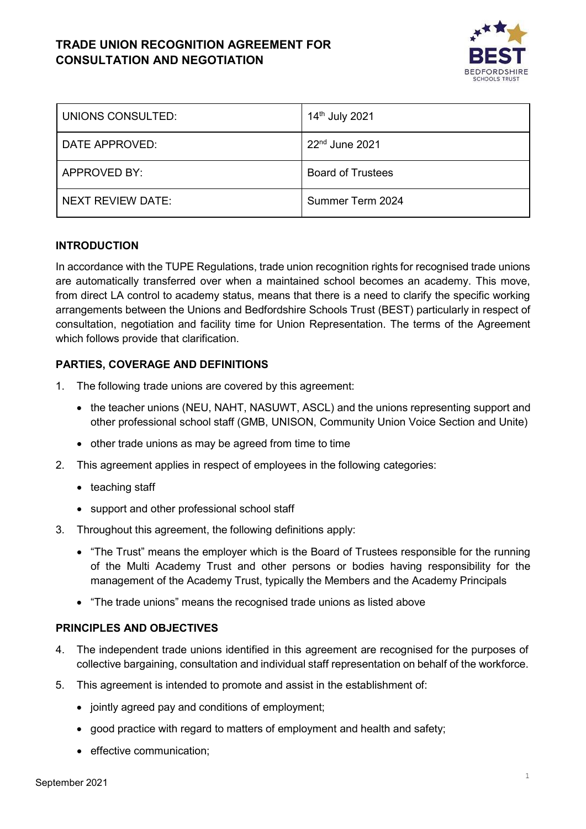# **TRADE UNION RECOGNITION AGREEMENT FOR CONSULTATION AND NEGOTIATION**



| UNIONS CONSULTED: | 14th July 2021           |
|-------------------|--------------------------|
| DATE APPROVED:    | $22nd$ June 2021         |
| APPROVED BY:      | <b>Board of Trustees</b> |
| NEXT REVIEW DATE: | Summer Term 2024         |

### **INTRODUCTION**

In accordance with the TUPE Regulations, trade union recognition rights for recognised trade unions are automatically transferred over when a maintained school becomes an academy. This move, from direct LA control to academy status, means that there is a need to clarify the specific working arrangements between the Unions and Bedfordshire Schools Trust (BEST) particularly in respect of consultation, negotiation and facility time for Union Representation. The terms of the Agreement which follows provide that clarification.

## **PARTIES, COVERAGE AND DEFINITIONS**

- 1. The following trade unions are covered by this agreement:
	- the teacher unions (NEU, NAHT, NASUWT, ASCL) and the unions representing support and other professional school staff (GMB, UNISON, Community Union Voice Section and Unite)
	- other trade unions as may be agreed from time to time
- 2. This agreement applies in respect of employees in the following categories:
	- teaching staff
	- support and other professional school staff
- 3. Throughout this agreement, the following definitions apply:
	- "The Trust" means the employer which is the Board of Trustees responsible for the running of the Multi Academy Trust and other persons or bodies having responsibility for the management of the Academy Trust, typically the Members and the Academy Principals
	- "The trade unions" means the recognised trade unions as listed above

### **PRINCIPLES AND OBJECTIVES**

- 4. The independent trade unions identified in this agreement are recognised for the purposes of collective bargaining, consultation and individual staff representation on behalf of the workforce.
- 5. This agreement is intended to promote and assist in the establishment of:
	- jointly agreed pay and conditions of employment;
	- good practice with regard to matters of employment and health and safety;
	- effective communication;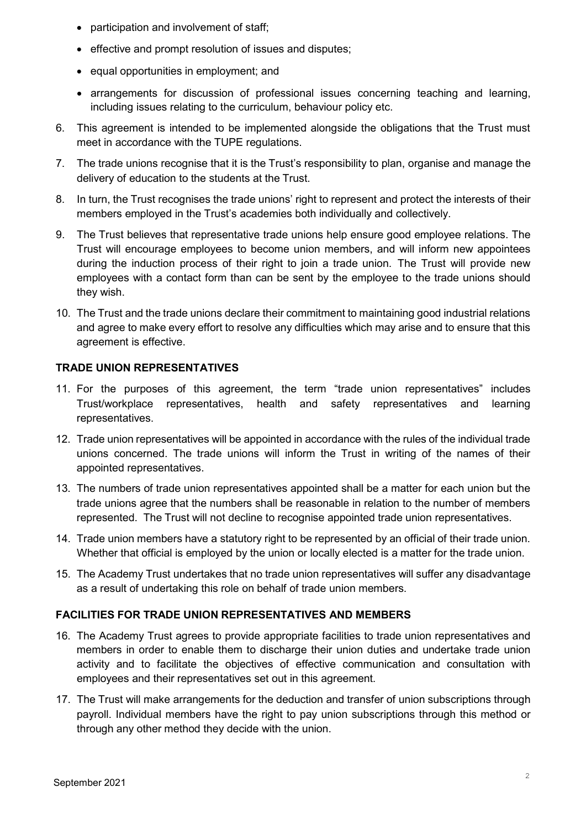- participation and involvement of staff;
- effective and prompt resolution of issues and disputes;
- equal opportunities in employment; and
- arrangements for discussion of professional issues concerning teaching and learning, including issues relating to the curriculum, behaviour policy etc.
- 6. This agreement is intended to be implemented alongside the obligations that the Trust must meet in accordance with the TUPE regulations.
- 7. The trade unions recognise that it is the Trust's responsibility to plan, organise and manage the delivery of education to the students at the Trust.
- 8. In turn, the Trust recognises the trade unions' right to represent and protect the interests of their members employed in the Trust's academies both individually and collectively.
- 9. The Trust believes that representative trade unions help ensure good employee relations. The Trust will encourage employees to become union members, and will inform new appointees during the induction process of their right to join a trade union. The Trust will provide new employees with a contact form than can be sent by the employee to the trade unions should they wish.
- 10. The Trust and the trade unions declare their commitment to maintaining good industrial relations and agree to make every effort to resolve any difficulties which may arise and to ensure that this agreement is effective.

# **TRADE UNION REPRESENTATIVES**

- 11. For the purposes of this agreement, the term "trade union representatives" includes Trust/workplace representatives, health and safety representatives and learning representatives.
- 12. Trade union representatives will be appointed in accordance with the rules of the individual trade unions concerned. The trade unions will inform the Trust in writing of the names of their appointed representatives.
- 13. The numbers of trade union representatives appointed shall be a matter for each union but the trade unions agree that the numbers shall be reasonable in relation to the number of members represented. The Trust will not decline to recognise appointed trade union representatives.
- 14. Trade union members have a statutory right to be represented by an official of their trade union. Whether that official is employed by the union or locally elected is a matter for the trade union.
- 15. The Academy Trust undertakes that no trade union representatives will suffer any disadvantage as a result of undertaking this role on behalf of trade union members.

## **FACILITIES FOR TRADE UNION REPRESENTATIVES AND MEMBERS**

- 16. The Academy Trust agrees to provide appropriate facilities to trade union representatives and members in order to enable them to discharge their union duties and undertake trade union activity and to facilitate the objectives of effective communication and consultation with employees and their representatives set out in this agreement.
- 17. The Trust will make arrangements for the deduction and transfer of union subscriptions through payroll. Individual members have the right to pay union subscriptions through this method or through any other method they decide with the union.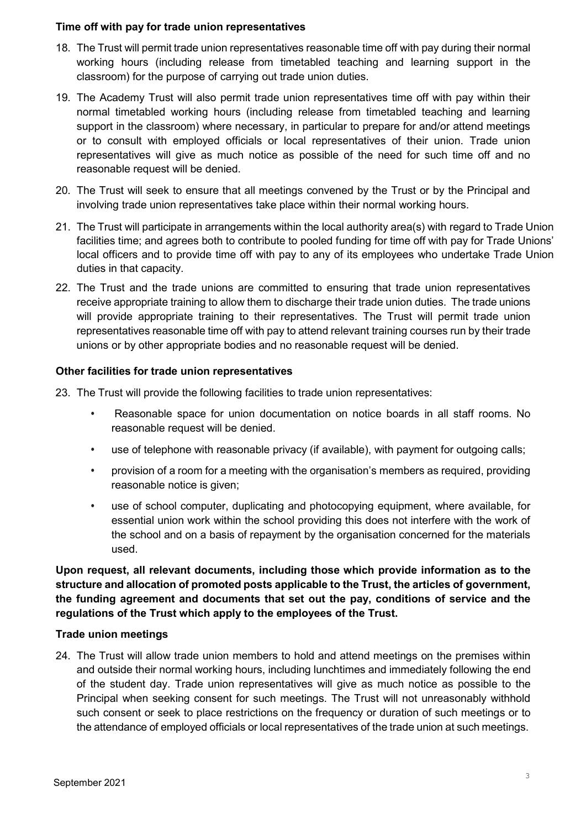#### **Time off with pay for trade union representatives**

- 18. The Trust will permit trade union representatives reasonable time off with pay during their normal working hours (including release from timetabled teaching and learning support in the classroom) for the purpose of carrying out trade union duties.
- 19. The Academy Trust will also permit trade union representatives time off with pay within their normal timetabled working hours (including release from timetabled teaching and learning support in the classroom) where necessary, in particular to prepare for and/or attend meetings or to consult with employed officials or local representatives of their union. Trade union representatives will give as much notice as possible of the need for such time off and no reasonable request will be denied.
- 20. The Trust will seek to ensure that all meetings convened by the Trust or by the Principal and involving trade union representatives take place within their normal working hours.
- 21. The Trust will participate in arrangements within the local authority area(s) with regard to Trade Union facilities time; and agrees both to contribute to pooled funding for time off with pay for Trade Unions' local officers and to provide time off with pay to any of its employees who undertake Trade Union duties in that capacity.
- 22. The Trust and the trade unions are committed to ensuring that trade union representatives receive appropriate training to allow them to discharge their trade union duties. The trade unions will provide appropriate training to their representatives. The Trust will permit trade union representatives reasonable time off with pay to attend relevant training courses run by their trade unions or by other appropriate bodies and no reasonable request will be denied.

#### **Other facilities for trade union representatives**

- 23. The Trust will provide the following facilities to trade union representatives:
	- Reasonable space for union documentation on notice boards in all staff rooms. No reasonable request will be denied.
	- use of telephone with reasonable privacy (if available), with payment for outgoing calls;
	- provision of a room for a meeting with the organisation's members as required, providing reasonable notice is given;
	- use of school computer, duplicating and photocopying equipment, where available, for essential union work within the school providing this does not interfere with the work of the school and on a basis of repayment by the organisation concerned for the materials used.

**Upon request, all relevant documents, including those which provide information as to the structure and allocation of promoted posts applicable to the Trust, the articles of government, the funding agreement and documents that set out the pay, conditions of service and the regulations of the Trust which apply to the employees of the Trust.**

### **Trade union meetings**

24. The Trust will allow trade union members to hold and attend meetings on the premises within and outside their normal working hours, including lunchtimes and immediately following the end of the student day. Trade union representatives will give as much notice as possible to the Principal when seeking consent for such meetings. The Trust will not unreasonably withhold such consent or seek to place restrictions on the frequency or duration of such meetings or to the attendance of employed officials or local representatives of the trade union at such meetings.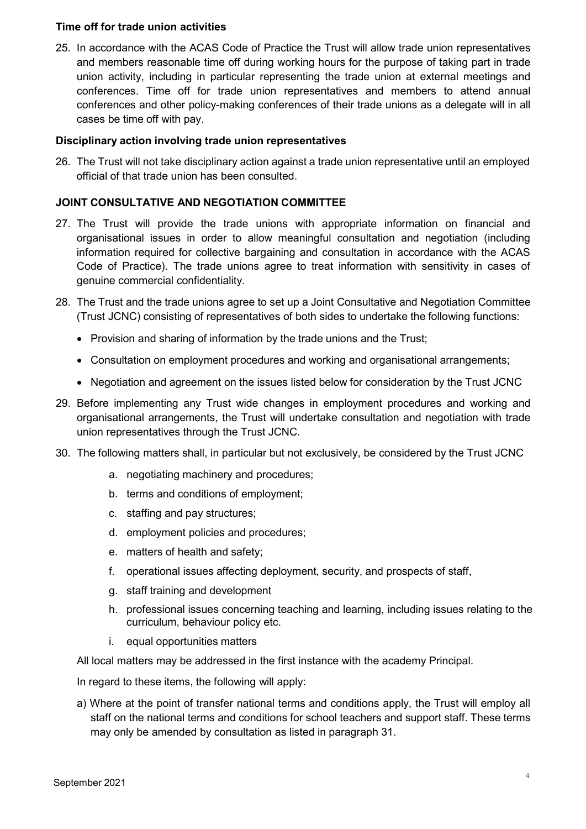### **Time off for trade union activities**

25. In accordance with the ACAS Code of Practice the Trust will allow trade union representatives and members reasonable time off during working hours for the purpose of taking part in trade union activity, including in particular representing the trade union at external meetings and conferences. Time off for trade union representatives and members to attend annual conferences and other policy-making conferences of their trade unions as a delegate will in all cases be time off with pay.

#### **Disciplinary action involving trade union representatives**

26. The Trust will not take disciplinary action against a trade union representative until an employed official of that trade union has been consulted.

### **JOINT CONSULTATIVE AND NEGOTIATION COMMITTEE**

- 27. The Trust will provide the trade unions with appropriate information on financial and organisational issues in order to allow meaningful consultation and negotiation (including information required for collective bargaining and consultation in accordance with the ACAS Code of Practice). The trade unions agree to treat information with sensitivity in cases of genuine commercial confidentiality.
- 28. The Trust and the trade unions agree to set up a Joint Consultative and Negotiation Committee (Trust JCNC) consisting of representatives of both sides to undertake the following functions:
	- Provision and sharing of information by the trade unions and the Trust;
	- Consultation on employment procedures and working and organisational arrangements;
	- Negotiation and agreement on the issues listed below for consideration by the Trust JCNC
- 29. Before implementing any Trust wide changes in employment procedures and working and organisational arrangements, the Trust will undertake consultation and negotiation with trade union representatives through the Trust JCNC.
- 30. The following matters shall, in particular but not exclusively, be considered by the Trust JCNC
	- a. negotiating machinery and procedures;
	- b. terms and conditions of employment;
	- c. staffing and pay structures;
	- d. employment policies and procedures;
	- e. matters of health and safety;
	- f. operational issues affecting deployment, security, and prospects of staff,
	- g. staff training and development
	- h. professional issues concerning teaching and learning, including issues relating to the curriculum, behaviour policy etc.
	- i. equal opportunities matters

All local matters may be addressed in the first instance with the academy Principal.

In regard to these items, the following will apply:

a) Where at the point of transfer national terms and conditions apply, the Trust will employ all staff on the national terms and conditions for school teachers and support staff. These terms may only be amended by consultation as listed in paragraph 31.